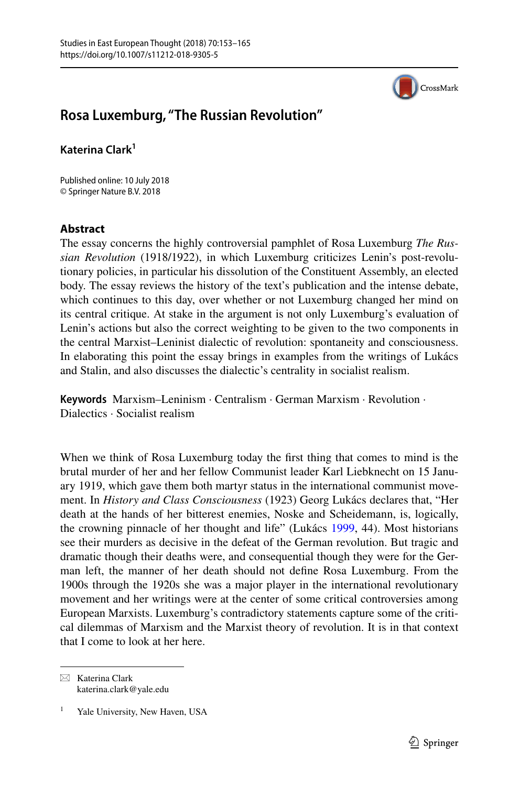

## **Rosa Luxemburg, "The Russian Revolution"**

**Katerina Clark<sup>1</sup>**

Published online: 10 July 2018 © Springer Nature B.V. 2018

## **Abstract**

The essay concerns the highly controversial pamphlet of Rosa Luxemburg *The Russian Revolution* (1918/1922), in which Luxemburg criticizes Lenin's post-revolutionary policies, in particular his dissolution of the Constituent Assembly, an elected body. The essay reviews the history of the text's publication and the intense debate, which continues to this day, over whether or not Luxemburg changed her mind on its central critique. At stake in the argument is not only Luxemburg's evaluation of Lenin's actions but also the correct weighting to be given to the two components in the central Marxist–Leninist dialectic of revolution: spontaneity and consciousness. In elaborating this point the essay brings in examples from the writings of Lukács and Stalin, and also discusses the dialectic's centrality in socialist realism.

**Keywords** Marxism–Leninism · Centralism · German Marxism · Revolution · Dialectics · Socialist realism

When we think of Rosa Luxemburg today the frst thing that comes to mind is the brutal murder of her and her fellow Communist leader Karl Liebknecht on 15 January 1919, which gave them both martyr status in the international communist movement. In *History and Class Consciousness* (1923) Georg Lukács declares that, "Her death at the hands of her bitterest enemies, Noske and Scheidemann, is, logically, the crowning pinnacle of her thought and life" (Lukács [1999,](#page-11-0) 44). Most historians see their murders as decisive in the defeat of the German revolution. But tragic and dramatic though their deaths were, and consequential though they were for the German left, the manner of her death should not defne Rosa Luxemburg. From the 1900s through the 1920s she was a major player in the international revolutionary movement and her writings were at the center of some critical controversies among European Marxists. Luxemburg's contradictory statements capture some of the critical dilemmas of Marxism and the Marxist theory of revolution. It is in that context that I come to look at her here.

 $\boxtimes$  Katerina Clark katerina.clark@yale.edu

Yale University, New Haven, USA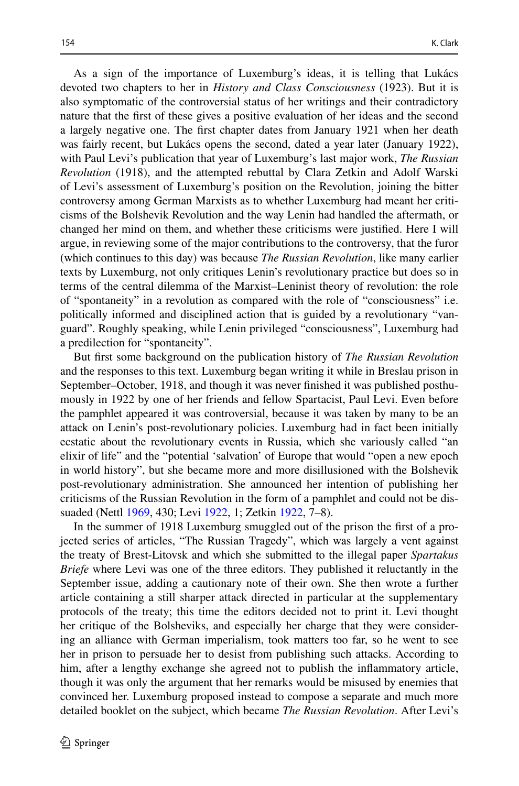As a sign of the importance of Luxemburg's ideas, it is telling that Lukács devoted two chapters to her in *History and Class Consciousness* (1923). But it is also symptomatic of the controversial status of her writings and their contradictory nature that the frst of these gives a positive evaluation of her ideas and the second a largely negative one. The frst chapter dates from January 1921 when her death was fairly recent, but Lukács opens the second, dated a year later (January 1922), with Paul Levi's publication that year of Luxemburg's last major work, *The Russian Revolution* (1918), and the attempted rebuttal by Clara Zetkin and Adolf Warski of Levi's assessment of Luxemburg's position on the Revolution, joining the bitter controversy among German Marxists as to whether Luxemburg had meant her criticisms of the Bolshevik Revolution and the way Lenin had handled the aftermath, or changed her mind on them, and whether these criticisms were justifed. Here I will argue, in reviewing some of the major contributions to the controversy, that the furor (which continues to this day) was because *The Russian Revolution*, like many earlier texts by Luxemburg, not only critiques Lenin's revolutionary practice but does so in terms of the central dilemma of the Marxist–Leninist theory of revolution: the role of "spontaneity" in a revolution as compared with the role of "consciousness" i.e. politically informed and disciplined action that is guided by a revolutionary "vanguard". Roughly speaking, while Lenin privileged "consciousness", Luxemburg had a predilection for "spontaneity".

But frst some background on the publication history of *The Russian Revolution* and the responses to this text. Luxemburg began writing it while in Breslau prison in September–October, 1918, and though it was never fnished it was published posthumously in 1922 by one of her friends and fellow Spartacist, Paul Levi. Even before the pamphlet appeared it was controversial, because it was taken by many to be an attack on Lenin's post-revolutionary policies. Luxemburg had in fact been initially ecstatic about the revolutionary events in Russia, which she variously called "an elixir of life" and the "potential 'salvation' of Europe that would "open a new epoch in world history", but she became more and more disillusioned with the Bolshevik post-revolutionary administration. She announced her intention of publishing her criticisms of the Russian Revolution in the form of a pamphlet and could not be dissuaded (Nettl [1969,](#page-12-0) 430; Levi [1922,](#page-11-1) 1; Zetkin [1922,](#page-12-1) 7–8).

In the summer of 1918 Luxemburg smuggled out of the prison the frst of a projected series of articles, "The Russian Tragedy", which was largely a vent against the treaty of Brest-Litovsk and which she submitted to the illegal paper *Spartakus Briefe* where Levi was one of the three editors. They published it reluctantly in the September issue, adding a cautionary note of their own. She then wrote a further article containing a still sharper attack directed in particular at the supplementary protocols of the treaty; this time the editors decided not to print it. Levi thought her critique of the Bolsheviks, and especially her charge that they were considering an alliance with German imperialism, took matters too far, so he went to see her in prison to persuade her to desist from publishing such attacks. According to him, after a lengthy exchange she agreed not to publish the infammatory article, though it was only the argument that her remarks would be misused by enemies that convinced her. Luxemburg proposed instead to compose a separate and much more detailed booklet on the subject, which became *The Russian Revolution*. After Levi's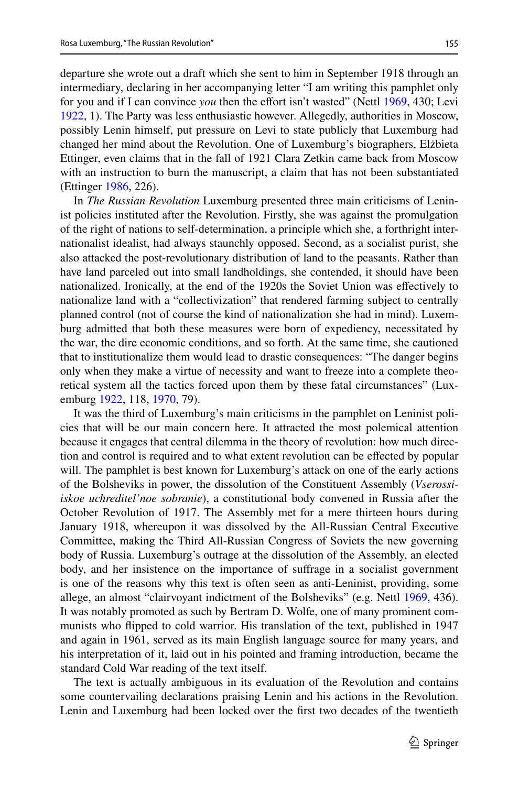departure she wrote out a draft which she sent to him in September 1918 through an intermediary, declaring in her accompanying letter "I am writing this pamphlet only for you and if I can convince *you* then the efort isn't wasted" (Nettl [1969,](#page-12-0) 430; Levi [1922](#page-11-1), 1). The Party was less enthusiastic however. Allegedly, authorities in Moscow, possibly Lenin himself, put pressure on Levi to state publicly that Luxemburg had changed her mind about the Revolution. One of Luxemburg's biographers, Elżbieta Ettinger, even claims that in the fall of 1921 Clara Zetkin came back from Moscow with an instruction to burn the manuscript, a claim that has not been substantiated (Ettinger [1986,](#page-11-2) 226).

In *The Russian Revolution* Luxemburg presented three main criticisms of Leninist policies instituted after the Revolution. Firstly, she was against the promulgation of the right of nations to self-determination, a principle which she, a forthright internationalist idealist, had always staunchly opposed. Second, as a socialist purist, she also attacked the post-revolutionary distribution of land to the peasants. Rather than have land parceled out into small landholdings, she contended, it should have been nationalized. Ironically, at the end of the 1920s the Soviet Union was efectively to nationalize land with a "collectivization" that rendered farming subject to centrally planned control (not of course the kind of nationalization she had in mind). Luxemburg admitted that both these measures were born of expediency, necessitated by the war, the dire economic conditions, and so forth. At the same time, she cautioned that to institutionalize them would lead to drastic consequences: "The danger begins only when they make a virtue of necessity and want to freeze into a complete theoretical system all the tactics forced upon them by these fatal circumstances" (Luxemburg [1922,](#page-12-2) 118, [1970,](#page-12-3) 79).

It was the third of Luxemburg's main criticisms in the pamphlet on Leninist policies that will be our main concern here. It attracted the most polemical attention because it engages that central dilemma in the theory of revolution: how much direction and control is required and to what extent revolution can be efected by popular will. The pamphlet is best known for Luxemburg's attack on one of the early actions of the Bolsheviks in power, the dissolution of the Constituent Assembly (*Vserossiiskoe uchreditel'noe sobranie*), a constitutional body convened in Russia after the October Revolution of 1917. The Assembly met for a mere thirteen hours during January 1918, whereupon it was dissolved by the All-Russian Central Executive Committee, making the Third All-Russian Congress of Soviets the new governing body of Russia. Luxemburg's outrage at the dissolution of the Assembly, an elected body, and her insistence on the importance of sufrage in a socialist government is one of the reasons why this text is often seen as anti-Leninist, providing, some allege, an almost "clairvoyant indictment of the Bolsheviks" (e.g. Nettl [1969,](#page-12-0) 436). It was notably promoted as such by Bertram D. Wolfe, one of many prominent communists who fipped to cold warrior. His translation of the text, published in 1947 and again in 1961, served as its main English language source for many years, and his interpretation of it, laid out in his pointed and framing introduction, became the standard Cold War reading of the text itself.

The text is actually ambiguous in its evaluation of the Revolution and contains some countervailing declarations praising Lenin and his actions in the Revolution. Lenin and Luxemburg had been locked over the frst two decades of the twentieth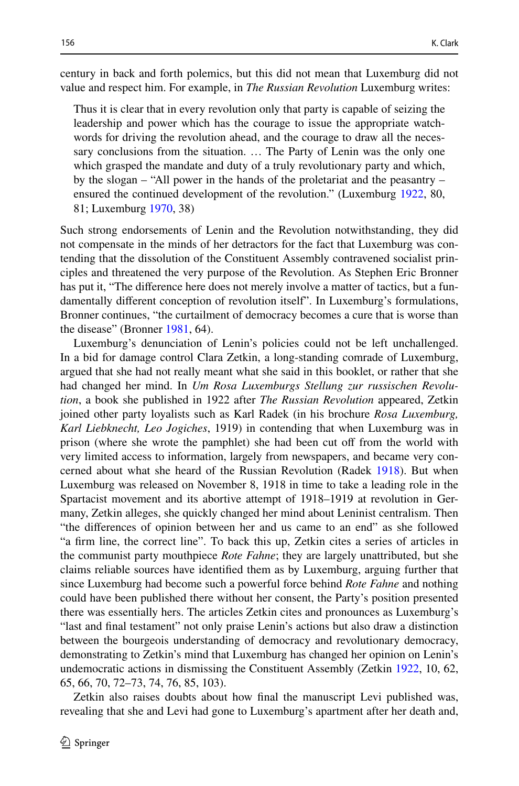century in back and forth polemics, but this did not mean that Luxemburg did not value and respect him. For example, in *The Russian Revolution* Luxemburg writes:

Thus it is clear that in every revolution only that party is capable of seizing the leadership and power which has the courage to issue the appropriate watchwords for driving the revolution ahead, and the courage to draw all the necessary conclusions from the situation. … The Party of Lenin was the only one which grasped the mandate and duty of a truly revolutionary party and which, by the slogan – "All power in the hands of the proletariat and the peasantry – ensured the continued development of the revolution." (Luxemburg [1922,](#page-12-2) 80, 81; Luxemburg [1970](#page-12-3), 38)

Such strong endorsements of Lenin and the Revolution notwithstanding, they did not compensate in the minds of her detractors for the fact that Luxemburg was contending that the dissolution of the Constituent Assembly contravened socialist principles and threatened the very purpose of the Revolution. As Stephen Eric Bronner has put it, "The diference here does not merely involve a matter of tactics, but a fundamentally diferent conception of revolution itself". In Luxemburg's formulations, Bronner continues, "the curtailment of democracy becomes a cure that is worse than the disease" (Bronner [1981](#page-11-3), 64).

Luxemburg's denunciation of Lenin's policies could not be left unchallenged. In a bid for damage control Clara Zetkin, a long-standing comrade of Luxemburg, argued that she had not really meant what she said in this booklet, or rather that she had changed her mind. In *Um Rosa Luxemburgs Stellung zur russischen Revolution*, a book she published in 1922 after *The Russian Revolution* appeared, Zetkin joined other party loyalists such as Karl Radek (in his brochure *Rosa Luxemburg, Karl Liebknecht, Leo Jogiches*, 1919) in contending that when Luxemburg was in prison (where she wrote the pamphlet) she had been cut of from the world with very limited access to information, largely from newspapers, and became very concerned about what she heard of the Russian Revolution (Radek [1918\)](#page-12-4). But when Luxemburg was released on November 8, 1918 in time to take a leading role in the Spartacist movement and its abortive attempt of 1918–1919 at revolution in Germany, Zetkin alleges, she quickly changed her mind about Leninist centralism. Then "the diferences of opinion between her and us came to an end" as she followed "a frm line, the correct line". To back this up, Zetkin cites a series of articles in the communist party mouthpiece *Rote Fahne*; they are largely unattributed, but she claims reliable sources have identifed them as by Luxemburg, arguing further that since Luxemburg had become such a powerful force behind *Rote Fahne* and nothing could have been published there without her consent, the Party's position presented there was essentially hers. The articles Zetkin cites and pronounces as Luxemburg's "last and fnal testament" not only praise Lenin's actions but also draw a distinction between the bourgeois understanding of democracy and revolutionary democracy, demonstrating to Zetkin's mind that Luxemburg has changed her opinion on Lenin's undemocratic actions in dismissing the Constituent Assembly (Zetkin [1922](#page-12-1), 10, 62, 65, 66, 70, 72–73, 74, 76, 85, 103).

Zetkin also raises doubts about how fnal the manuscript Levi published was, revealing that she and Levi had gone to Luxemburg's apartment after her death and,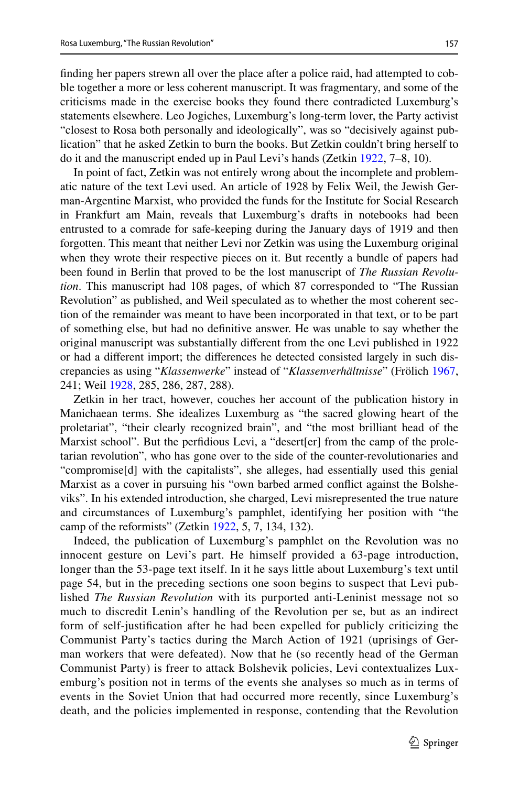fnding her papers strewn all over the place after a police raid, had attempted to cobble together a more or less coherent manuscript. It was fragmentary, and some of the criticisms made in the exercise books they found there contradicted Luxemburg's statements elsewhere. Leo Jogiches, Luxemburg's long-term lover, the Party activist "closest to Rosa both personally and ideologically", was so "decisively against publication" that he asked Zetkin to burn the books. But Zetkin couldn't bring herself to do it and the manuscript ended up in Paul Levi's hands (Zetkin [1922,](#page-12-1) 7–8, 10).

In point of fact, Zetkin was not entirely wrong about the incomplete and problematic nature of the text Levi used. An article of 1928 by Felix Weil, the Jewish German-Argentine Marxist, who provided the funds for the Institute for Social Research in Frankfurt am Main, reveals that Luxemburg's drafts in notebooks had been entrusted to a comrade for safe-keeping during the January days of 1919 and then forgotten. This meant that neither Levi nor Zetkin was using the Luxemburg original when they wrote their respective pieces on it. But recently a bundle of papers had been found in Berlin that proved to be the lost manuscript of *The Russian Revolution*. This manuscript had 108 pages, of which 87 corresponded to "The Russian Revolution" as published, and Weil speculated as to whether the most coherent section of the remainder was meant to have been incorporated in that text, or to be part of something else, but had no defnitive answer. He was unable to say whether the original manuscript was substantially diferent from the one Levi published in 1922 or had a diferent import; the diferences he detected consisted largely in such discrepancies as using "*Klassenwerke*" instead of "*Klassenverhältnisse*" (Frölich [1967,](#page-11-4) 241; Weil [1928,](#page-12-5) 285, 286, 287, 288).

Zetkin in her tract, however, couches her account of the publication history in Manichaean terms. She idealizes Luxemburg as "the sacred glowing heart of the proletariat", "their clearly recognized brain", and "the most brilliant head of the Marxist school". But the perfdious Levi, a "desert[er] from the camp of the proletarian revolution", who has gone over to the side of the counter-revolutionaries and "compromise[d] with the capitalists", she alleges, had essentially used this genial Marxist as a cover in pursuing his "own barbed armed confict against the Bolsheviks". In his extended introduction, she charged, Levi misrepresented the true nature and circumstances of Luxemburg's pamphlet, identifying her position with "the camp of the reformists" (Zetkin [1922,](#page-12-1) 5, 7, 134, 132).

Indeed, the publication of Luxemburg's pamphlet on the Revolution was no innocent gesture on Levi's part. He himself provided a 63-page introduction, longer than the 53-page text itself. In it he says little about Luxemburg's text until page 54, but in the preceding sections one soon begins to suspect that Levi published *The Russian Revolution* with its purported anti-Leninist message not so much to discredit Lenin's handling of the Revolution per se, but as an indirect form of self-justifcation after he had been expelled for publicly criticizing the Communist Party's tactics during the March Action of 1921 (uprisings of German workers that were defeated). Now that he (so recently head of the German Communist Party) is freer to attack Bolshevik policies, Levi contextualizes Luxemburg's position not in terms of the events she analyses so much as in terms of events in the Soviet Union that had occurred more recently, since Luxemburg's death, and the policies implemented in response, contending that the Revolution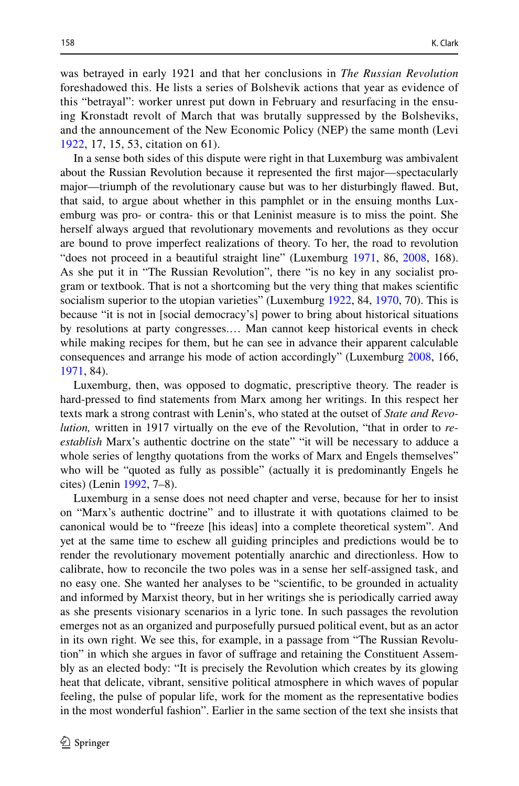was betrayed in early 1921 and that her conclusions in *The Russian Revolution* foreshadowed this. He lists a series of Bolshevik actions that year as evidence of this "betrayal": worker unrest put down in February and resurfacing in the ensuing Kronstadt revolt of March that was brutally suppressed by the Bolsheviks, and the announcement of the New Economic Policy (NEP) the same month (Levi [1922,](#page-11-1) 17, 15, 53, citation on 61).

In a sense both sides of this dispute were right in that Luxemburg was ambivalent about the Russian Revolution because it represented the frst major—spectacularly major—triumph of the revolutionary cause but was to her disturbingly fawed. But, that said, to argue about whether in this pamphlet or in the ensuing months Luxemburg was pro- or contra- this or that Leninist measure is to miss the point. She herself always argued that revolutionary movements and revolutions as they occur are bound to prove imperfect realizations of theory. To her, the road to revolution "does not proceed in a beautiful straight line" (Luxemburg [1971,](#page-12-6) 86, [2008](#page-12-7), 168). As she put it in "The Russian Revolution", there "is no key in any socialist program or textbook. That is not a shortcoming but the very thing that makes scientifc socialism superior to the utopian varieties" (Luxemburg [1922,](#page-12-2) 84, [1970,](#page-12-3) 70). This is because "it is not in [social democracy's] power to bring about historical situations by resolutions at party congresses.… Man cannot keep historical events in check while making recipes for them, but he can see in advance their apparent calculable consequences and arrange his mode of action accordingly" (Luxemburg [2008](#page-12-7), 166, [1971](#page-12-6), 84).

Luxemburg, then, was opposed to dogmatic, prescriptive theory. The reader is hard-pressed to fnd statements from Marx among her writings. In this respect her texts mark a strong contrast with Lenin's, who stated at the outset of *State and Revolution,* written in 1917 virtually on the eve of the Revolution, "that in order to *reestablish* Marx's authentic doctrine on the state" "it will be necessary to adduce a whole series of lengthy quotations from the works of Marx and Engels themselves" who will be "quoted as fully as possible" (actually it is predominantly Engels he cites) (Lenin [1992](#page-11-5), 7–8).

Luxemburg in a sense does not need chapter and verse, because for her to insist on "Marx's authentic doctrine" and to illustrate it with quotations claimed to be canonical would be to "freeze [his ideas] into a complete theoretical system". And yet at the same time to eschew all guiding principles and predictions would be to render the revolutionary movement potentially anarchic and directionless. How to calibrate, how to reconcile the two poles was in a sense her self-assigned task, and no easy one. She wanted her analyses to be "scientifc, to be grounded in actuality and informed by Marxist theory, but in her writings she is periodically carried away as she presents visionary scenarios in a lyric tone. In such passages the revolution emerges not as an organized and purposefully pursued political event, but as an actor in its own right. We see this, for example, in a passage from "The Russian Revolution" in which she argues in favor of sufrage and retaining the Constituent Assembly as an elected body: "It is precisely the Revolution which creates by its glowing heat that delicate, vibrant, sensitive political atmosphere in which waves of popular feeling, the pulse of popular life, work for the moment as the representative bodies in the most wonderful fashion". Earlier in the same section of the text she insists that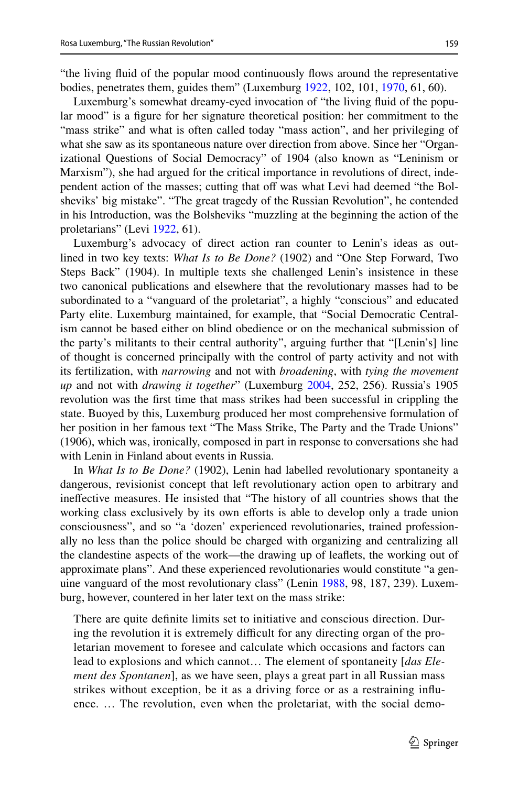Luxemburg's somewhat dreamy-eyed invocation of "the living fuid of the popular mood" is a fgure for her signature theoretical position: her commitment to the "mass strike" and what is often called today "mass action", and her privileging of what she saw as its spontaneous nature over direction from above. Since her "Organizational Questions of Social Democracy" of 1904 (also known as "Leninism or Marxism"), she had argued for the critical importance in revolutions of direct, independent action of the masses; cutting that off was what Levi had deemed "the Bolsheviks' big mistake". "The great tragedy of the Russian Revolution", he contended in his Introduction, was the Bolsheviks "muzzling at the beginning the action of the proletarians" (Levi [1922](#page-11-1), 61).

Luxemburg's advocacy of direct action ran counter to Lenin's ideas as outlined in two key texts: *What Is to Be Done?* (1902) and "One Step Forward, Two Steps Back" (1904). In multiple texts she challenged Lenin's insistence in these two canonical publications and elsewhere that the revolutionary masses had to be subordinated to a "vanguard of the proletariat", a highly "conscious" and educated Party elite. Luxemburg maintained, for example, that "Social Democratic Centralism cannot be based either on blind obedience or on the mechanical submission of the party's militants to their central authority", arguing further that "[Lenin's] line of thought is concerned principally with the control of party activity and not with its fertilization, with *narrowing* and not with *broadening*, with *tying the movement up* and not with *drawing it together*" (Luxemburg [2004](#page-12-8), 252, 256). Russia's 1905 revolution was the frst time that mass strikes had been successful in crippling the state. Buoyed by this, Luxemburg produced her most comprehensive formulation of her position in her famous text "The Mass Strike, The Party and the Trade Unions" (1906), which was, ironically, composed in part in response to conversations she had with Lenin in Finland about events in Russia.

In *What Is to Be Done?* (1902), Lenin had labelled revolutionary spontaneity a dangerous, revisionist concept that left revolutionary action open to arbitrary and inefective measures. He insisted that "The history of all countries shows that the working class exclusively by its own efforts is able to develop only a trade union consciousness", and so "a 'dozen' experienced revolutionaries, trained professionally no less than the police should be charged with organizing and centralizing all the clandestine aspects of the work—the drawing up of leafets, the working out of approximate plans". And these experienced revolutionaries would constitute "a gen-uine vanguard of the most revolutionary class" (Lenin [1988](#page-11-6), 98, 187, 239). Luxemburg, however, countered in her later text on the mass strike:

There are quite defnite limits set to initiative and conscious direction. During the revolution it is extremely difficult for any directing organ of the proletarian movement to foresee and calculate which occasions and factors can lead to explosions and which cannot… The element of spontaneity [*das Element des Spontanen*], as we have seen, plays a great part in all Russian mass strikes without exception, be it as a driving force or as a restraining infuence. … The revolution, even when the proletariat, with the social demo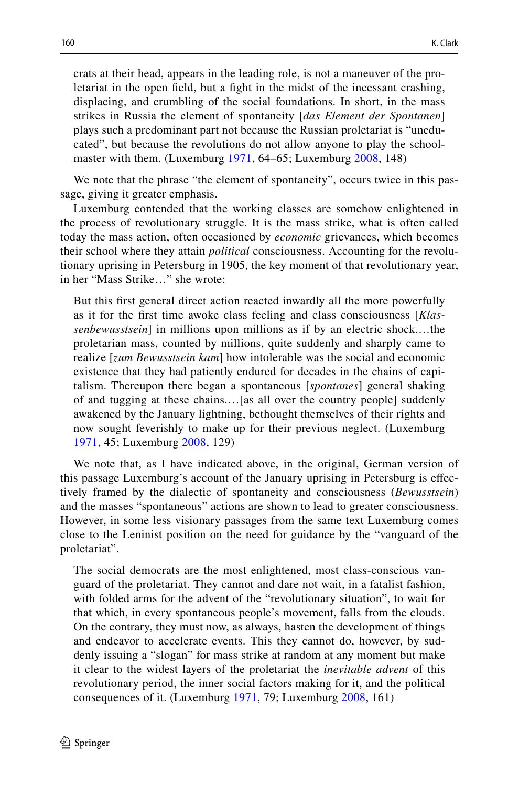crats at their head, appears in the leading role, is not a maneuver of the proletariat in the open feld, but a fght in the midst of the incessant crashing, displacing, and crumbling of the social foundations. In short, in the mass strikes in Russia the element of spontaneity [*das Element der Spontanen*] plays such a predominant part not because the Russian proletariat is "uneducated", but because the revolutions do not allow anyone to play the school-master with them. (Luxemburg [1971,](#page-12-6) 64–65; Luxemburg [2008,](#page-12-7) 148)

We note that the phrase "the element of spontaneity", occurs twice in this passage, giving it greater emphasis.

Luxemburg contended that the working classes are somehow enlightened in the process of revolutionary struggle. It is the mass strike, what is often called today the mass action, often occasioned by *economic* grievances, which becomes their school where they attain *political* consciousness. Accounting for the revolutionary uprising in Petersburg in 1905, the key moment of that revolutionary year, in her "Mass Strike…" she wrote:

But this frst general direct action reacted inwardly all the more powerfully as it for the frst time awoke class feeling and class consciousness [*Klassenbewusstsein*] in millions upon millions as if by an electric shock.…the proletarian mass, counted by millions, quite suddenly and sharply came to realize [*zum Bewusstsein kam*] how intolerable was the social and economic existence that they had patiently endured for decades in the chains of capitalism. Thereupon there began a spontaneous [*spontanes*] general shaking of and tugging at these chains.…[as all over the country people] suddenly awakened by the January lightning, bethought themselves of their rights and now sought feverishly to make up for their previous neglect. (Luxemburg [1971,](#page-12-6) 45; Luxemburg [2008,](#page-12-7) 129)

We note that, as I have indicated above, in the original, German version of this passage Luxemburg's account of the January uprising in Petersburg is efectively framed by the dialectic of spontaneity and consciousness (*Bewusstsein*) and the masses "spontaneous" actions are shown to lead to greater consciousness. However, in some less visionary passages from the same text Luxemburg comes close to the Leninist position on the need for guidance by the "vanguard of the proletariat".

The social democrats are the most enlightened, most class-conscious vanguard of the proletariat. They cannot and dare not wait, in a fatalist fashion, with folded arms for the advent of the "revolutionary situation", to wait for that which, in every spontaneous people's movement, falls from the clouds. On the contrary, they must now, as always, hasten the development of things and endeavor to accelerate events. This they cannot do, however, by suddenly issuing a "slogan" for mass strike at random at any moment but make it clear to the widest layers of the proletariat the *inevitable advent* of this revolutionary period, the inner social factors making for it, and the political consequences of it. (Luxemburg [1971](#page-12-6), 79; Luxemburg [2008,](#page-12-7) 161)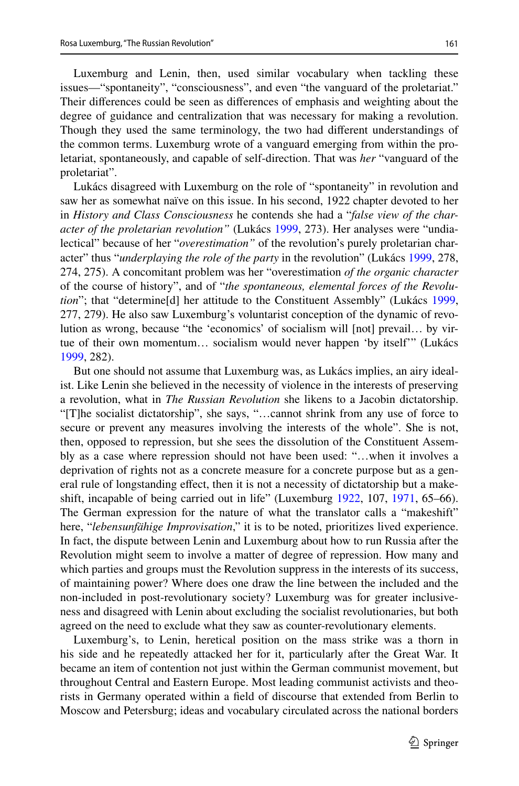Luxemburg and Lenin, then, used similar vocabulary when tackling these issues—"spontaneity", "consciousness", and even "the vanguard of the proletariat." Their diferences could be seen as diferences of emphasis and weighting about the degree of guidance and centralization that was necessary for making a revolution. Though they used the same terminology, the two had diferent understandings of the common terms. Luxemburg wrote of a vanguard emerging from within the proletariat, spontaneously, and capable of self-direction. That was *her* "vanguard of the proletariat".

Lukács disagreed with Luxemburg on the role of "spontaneity" in revolution and saw her as somewhat naïve on this issue. In his second, 1922 chapter devoted to her in *History and Class Consciousness* he contends she had a "*false view of the character of the proletarian revolution"* (Lukács [1999,](#page-11-0) 273). Her analyses were "undialectical" because of her "*overestimation"* of the revolution's purely proletarian character" thus "*underplaying the role of the party* in the revolution" (Lukács [1999,](#page-11-0) 278, 274, 275). A concomitant problem was her "overestimation *of the organic character* of the course of history", and of "*the spontaneous, elemental forces of the Revolution*"; that "determine[d] her attitude to the Constituent Assembly" (Lukács [1999,](#page-11-0) 277, 279). He also saw Luxemburg's voluntarist conception of the dynamic of revolution as wrong, because "the 'economics' of socialism will [not] prevail… by virtue of their own momentum… socialism would never happen 'by itself'" (Lukács [1999](#page-11-0), 282).

But one should not assume that Luxemburg was, as Lukács implies, an airy idealist. Like Lenin she believed in the necessity of violence in the interests of preserving a revolution, what in *The Russian Revolution* she likens to a Jacobin dictatorship. "[T]he socialist dictatorship", she says, "…cannot shrink from any use of force to secure or prevent any measures involving the interests of the whole". She is not, then, opposed to repression, but she sees the dissolution of the Constituent Assembly as a case where repression should not have been used: "…when it involves a deprivation of rights not as a concrete measure for a concrete purpose but as a general rule of longstanding efect, then it is not a necessity of dictatorship but a makeshift, incapable of being carried out in life" (Luxemburg [1922](#page-12-2), 107, [1971,](#page-12-6) 65–66). The German expression for the nature of what the translator calls a "makeshift" here, "*lebensunfähige Improvisation*," it is to be noted, prioritizes lived experience. In fact, the dispute between Lenin and Luxemburg about how to run Russia after the Revolution might seem to involve a matter of degree of repression. How many and which parties and groups must the Revolution suppress in the interests of its success, of maintaining power? Where does one draw the line between the included and the non-included in post-revolutionary society? Luxemburg was for greater inclusiveness and disagreed with Lenin about excluding the socialist revolutionaries, but both agreed on the need to exclude what they saw as counter-revolutionary elements.

Luxemburg's, to Lenin, heretical position on the mass strike was a thorn in his side and he repeatedly attacked her for it, particularly after the Great War. It became an item of contention not just within the German communist movement, but throughout Central and Eastern Europe. Most leading communist activists and theorists in Germany operated within a feld of discourse that extended from Berlin to Moscow and Petersburg; ideas and vocabulary circulated across the national borders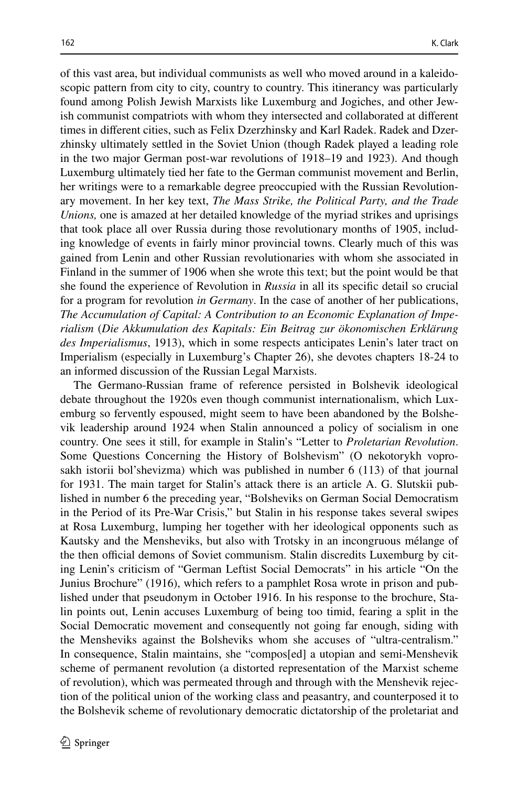of this vast area, but individual communists as well who moved around in a kaleidoscopic pattern from city to city, country to country. This itinerancy was particularly found among Polish Jewish Marxists like Luxemburg and Jogiches, and other Jewish communist compatriots with whom they intersected and collaborated at diferent times in diferent cities, such as Felix Dzerzhinsky and Karl Radek. Radek and Dzerzhinsky ultimately settled in the Soviet Union (though Radek played a leading role in the two major German post-war revolutions of 1918–19 and 1923). And though Luxemburg ultimately tied her fate to the German communist movement and Berlin, her writings were to a remarkable degree preoccupied with the Russian Revolutionary movement. In her key text, *The Mass Strike, the Political Party, and the Trade Unions,* one is amazed at her detailed knowledge of the myriad strikes and uprisings that took place all over Russia during those revolutionary months of 1905, including knowledge of events in fairly minor provincial towns. Clearly much of this was gained from Lenin and other Russian revolutionaries with whom she associated in Finland in the summer of 1906 when she wrote this text; but the point would be that she found the experience of Revolution in *Russia* in all its specifc detail so crucial for a program for revolution *in Germany*. In the case of another of her publications, *The Accumulation of Capital: A Contribution to an Economic Explanation of Imperialism* (*Die Akkumulation des Kapitals: Ein Beitrag zur ökonomischen Erklärung des Imperialismus*, 1913), which in some respects anticipates Lenin's later tract on Imperialism (especially in Luxemburg's Chapter 26), she devotes chapters 18-24 to an informed discussion of the Russian Legal Marxists.

The Germano-Russian frame of reference persisted in Bolshevik ideological debate throughout the 1920s even though communist internationalism, which Luxemburg so fervently espoused, might seem to have been abandoned by the Bolshevik leadership around 1924 when Stalin announced a policy of socialism in one country. One sees it still, for example in Stalin's "Letter to *Proletarian Revolution*. Some Questions Concerning the History of Bolshevism" (O nekotorykh voprosakh istorii bol'shevizma) which was published in number 6 (113) of that journal for 1931. The main target for Stalin's attack there is an article A. G. Slutskii published in number 6 the preceding year, "Bolsheviks on German Social Democratism in the Period of its Pre-War Crisis," but Stalin in his response takes several swipes at Rosa Luxemburg, lumping her together with her ideological opponents such as Kautsky and the Mensheviks, but also with Trotsky in an incongruous mélange of the then official demons of Soviet communism. Stalin discredits Luxemburg by citing Lenin's criticism of "German Leftist Social Democrats" in his article "On the Junius Brochure" (1916), which refers to a pamphlet Rosa wrote in prison and published under that pseudonym in October 1916. In his response to the brochure, Stalin points out, Lenin accuses Luxemburg of being too timid, fearing a split in the Social Democratic movement and consequently not going far enough, siding with the Mensheviks against the Bolsheviks whom she accuses of "ultra-centralism." In consequence, Stalin maintains, she "compos[ed] a utopian and semi-Menshevik scheme of permanent revolution (a distorted representation of the Marxist scheme of revolution), which was permeated through and through with the Menshevik rejection of the political union of the working class and peasantry, and counterposed it to the Bolshevik scheme of revolutionary democratic dictatorship of the proletariat and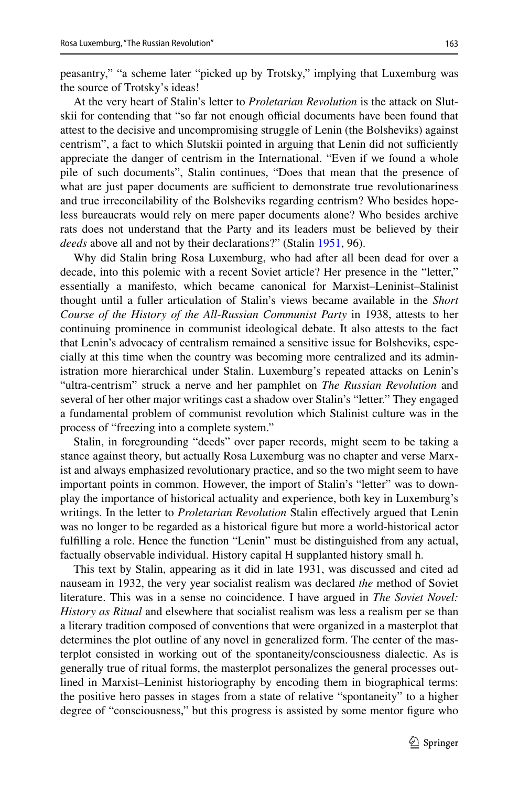peasantry," "a scheme later "picked up by Trotsky," implying that Luxemburg was the source of Trotsky's ideas!

At the very heart of Stalin's letter to *Proletarian Revolution* is the attack on Slutskii for contending that "so far not enough official documents have been found that attest to the decisive and uncompromising struggle of Lenin (the Bolsheviks) against centrism", a fact to which Slutskii pointed in arguing that Lenin did not sufficiently appreciate the danger of centrism in the International. "Even if we found a whole pile of such documents", Stalin continues, "Does that mean that the presence of what are just paper documents are sufficient to demonstrate true revolutionariness and true irreconcilability of the Bolsheviks regarding centrism? Who besides hopeless bureaucrats would rely on mere paper documents alone? Who besides archive rats does not understand that the Party and its leaders must be believed by their *deeds* above all and not by their declarations?" (Stalin [1951,](#page-12-9) 96).

Why did Stalin bring Rosa Luxemburg, who had after all been dead for over a decade, into this polemic with a recent Soviet article? Her presence in the "letter," essentially a manifesto, which became canonical for Marxist–Leninist–Stalinist thought until a fuller articulation of Stalin's views became available in the *Short Course of the History of the All*-*Russian Communist Party* in 1938, attests to her continuing prominence in communist ideological debate. It also attests to the fact that Lenin's advocacy of centralism remained a sensitive issue for Bolsheviks, especially at this time when the country was becoming more centralized and its administration more hierarchical under Stalin. Luxemburg's repeated attacks on Lenin's "ultra-centrism" struck a nerve and her pamphlet on *The Russian Revolution* and several of her other major writings cast a shadow over Stalin's "letter." They engaged a fundamental problem of communist revolution which Stalinist culture was in the process of "freezing into a complete system."

Stalin, in foregrounding "deeds" over paper records, might seem to be taking a stance against theory, but actually Rosa Luxemburg was no chapter and verse Marxist and always emphasized revolutionary practice, and so the two might seem to have important points in common. However, the import of Stalin's "letter" was to downplay the importance of historical actuality and experience, both key in Luxemburg's writings. In the letter to *Proletarian Revolution* Stalin efectively argued that Lenin was no longer to be regarded as a historical fgure but more a world-historical actor fulflling a role. Hence the function "Lenin" must be distinguished from any actual, factually observable individual. History capital H supplanted history small h.

This text by Stalin, appearing as it did in late 1931, was discussed and cited ad nauseam in 1932, the very year socialist realism was declared *the* method of Soviet literature. This was in a sense no coincidence. I have argued in *The Soviet Novel: History as Ritual* and elsewhere that socialist realism was less a realism per se than a literary tradition composed of conventions that were organized in a masterplot that determines the plot outline of any novel in generalized form. The center of the masterplot consisted in working out of the spontaneity/consciousness dialectic. As is generally true of ritual forms, the masterplot personalizes the general processes outlined in Marxist–Leninist historiography by encoding them in biographical terms: the positive hero passes in stages from a state of relative "spontaneity" to a higher degree of "consciousness," but this progress is assisted by some mentor figure who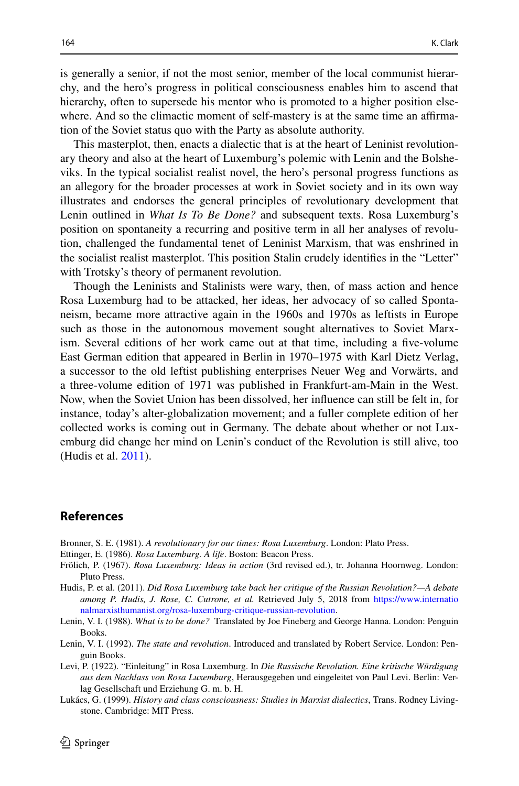is generally a senior, if not the most senior, member of the local communist hierarchy, and the hero's progress in political consciousness enables him to ascend that hierarchy, often to supersede his mentor who is promoted to a higher position elsewhere. And so the climactic moment of self-mastery is at the same time an affirmation of the Soviet status quo with the Party as absolute authority.

This masterplot, then, enacts a dialectic that is at the heart of Leninist revolutionary theory and also at the heart of Luxemburg's polemic with Lenin and the Bolsheviks. In the typical socialist realist novel, the hero's personal progress functions as an allegory for the broader processes at work in Soviet society and in its own way illustrates and endorses the general principles of revolutionary development that Lenin outlined in *What Is To Be Done?* and subsequent texts. Rosa Luxemburg's position on spontaneity a recurring and positive term in all her analyses of revolution, challenged the fundamental tenet of Leninist Marxism, that was enshrined in the socialist realist masterplot. This position Stalin crudely identifes in the "Letter" with Trotsky's theory of permanent revolution.

Though the Leninists and Stalinists were wary, then, of mass action and hence Rosa Luxemburg had to be attacked, her ideas, her advocacy of so called Spontaneism, became more attractive again in the 1960s and 1970s as leftists in Europe such as those in the autonomous movement sought alternatives to Soviet Marxism. Several editions of her work came out at that time, including a fve-volume East German edition that appeared in Berlin in 1970–1975 with Karl Dietz Verlag, a successor to the old leftist publishing enterprises Neuer Weg and Vorwärts, and a three-volume edition of 1971 was published in Frankfurt-am-Main in the West. Now, when the Soviet Union has been dissolved, her infuence can still be felt in, for instance, today's alter-globalization movement; and a fuller complete edition of her collected works is coming out in Germany. The debate about whether or not Luxemburg did change her mind on Lenin's conduct of the Revolution is still alive, too (Hudis et al. [2011\)](#page-11-7).

## **References**

- <span id="page-11-3"></span>Bronner, S. E. (1981). *A revolutionary for our times: Rosa Luxemburg*. London: Plato Press.
- <span id="page-11-2"></span>Ettinger, E. (1986). *Rosa Luxemburg. A life*. Boston: Beacon Press.
- <span id="page-11-4"></span>Frölich, P. (1967). *Rosa Luxemburg: Ideas in action* (3rd revised ed.), tr. Johanna Hoornweg. London: Pluto Press.
- <span id="page-11-7"></span>Hudis, P. et al. (2011). *Did Rosa Luxemburg take back her critique of the Russian Revolution?—A debate among P. Hudis, J. Rose, C. Cutrone, et al.* Retrieved July 5, 2018 from [https://www.internatio](https://www.internationalmarxisthumanist.org/rosa-luxemburg-critique-russian-revolution) [nalmarxisthumanist.org/rosa-luxemburg-critique-russian-revolution](https://www.internationalmarxisthumanist.org/rosa-luxemburg-critique-russian-revolution).
- <span id="page-11-6"></span>Lenin, V. I. (1988). *What is to be done?* Translated by Joe Fineberg and George Hanna. London: Penguin Books.
- <span id="page-11-5"></span>Lenin, V. I. (1992). *The state and revolution*. Introduced and translated by Robert Service. London: Penguin Books.
- <span id="page-11-1"></span>Levi, P. (1922). "Einleitung" in Rosa Luxemburg. In *Die Russische Revolution. Eine kritische Würdigung aus dem Nachlass von Rosa Luxemburg*, Herausgegeben und eingeleitet von Paul Levi. Berlin: Verlag Gesellschaft und Erziehung G. m. b. H.
- <span id="page-11-0"></span>Lukács, G. (1999). *History and class consciousness: Studies in Marxist dialectics*, Trans. Rodney Livingstone. Cambridge: MIT Press.